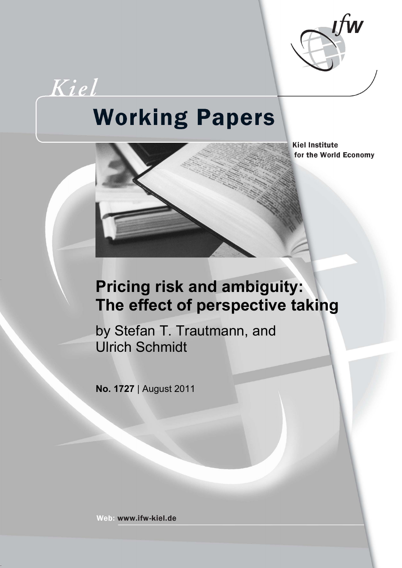

# Kiel **Working Papers**



**Kiel Institute** for the World Economy

# **Pricing risk and ambiguity: The effect of perspective taking**

by Stefan T. Trautmann, and Ulrich Schmidt

**No. 1727** | August 2011

Web: www.ifw-kiel.de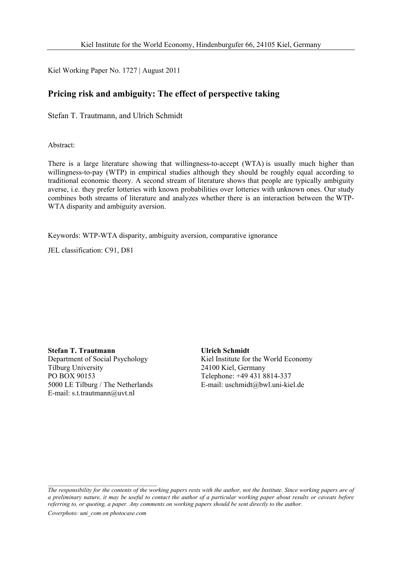Kiel Working Paper No. 1727 | August 2011

### **Pricing risk and ambiguity: The effect of perspective taking**

Stefan T. Trautmann, and Ulrich Schmidt

Abstract:

There is a large literature showing that willingness-to-accept (WTA) is usually much higher than willingness-to-pay (WTP) in empirical studies although they should be roughly equal according to traditional economic theory. A second stream of literature shows that people are typically ambiguity averse, i.e. they prefer lotteries with known probabilities over lotteries with unknown ones. Our study combines both streams of literature and analyzes whether there is an interaction between the WTP-WTA disparity and ambiguity aversion.

Keywords: WTP-WTA disparity, ambiguity aversion, comparative ignorance

JEL classification: C91, D81

**Stefan T. Trautmann**  Department of Social Psychology Tilburg University PO BOX 90153 5000 LE Tilburg / The Netherlands E-mail: s.t.trautmann@uvt.nl

**Ulrich Schmidt**  Kiel Institute for the World Economy 24100 Kiel, Germany Telephone: +49 431 8814-337 E-mail: uschmidt@bwl.uni-kiel.de

*Coverphoto: uni\_com on photocase.com* 

 $\mathcal{L}_\text{max}$ 

*The responsibility for the contents of the working papers rests with the author, not the Institute. Since working papers are of a preliminary nature, it may be useful to contact the author of a particular working paper about results or caveats before referring to, or quoting, a paper. Any comments on working papers should be sent directly to the author.*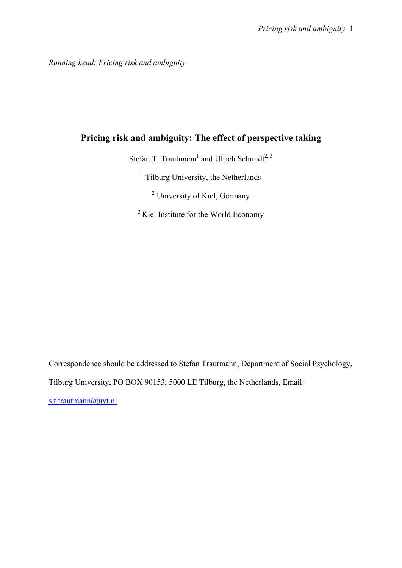*Running head: Pricing risk and ambiguity* 

## **Pricing risk and ambiguity: The effect of perspective taking**

Stefan T. Trautmann<sup>1</sup> and Ulrich Schmidt<sup>2, 3</sup>

<sup>1</sup> Tilburg University, the Netherlands

<sup>2</sup> University of Kiel, Germany

<sup>3</sup> Kiel Institute for the World Economy

Correspondence should be addressed to Stefan Trautmann, Department of Social Psychology,

Tilburg University, PO BOX 90153, 5000 LE Tilburg, the Netherlands, Email:

s.t.trautmann@uvt.nl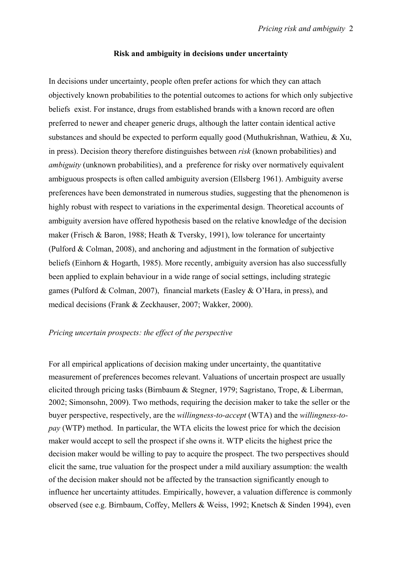#### **Risk and ambiguity in decisions under uncertainty**

In decisions under uncertainty, people often prefer actions for which they can attach objectively known probabilities to the potential outcomes to actions for which only subjective beliefs exist. For instance, drugs from established brands with a known record are often preferred to newer and cheaper generic drugs, although the latter contain identical active substances and should be expected to perform equally good (Muthukrishnan, Wathieu, & Xu, in press). Decision theory therefore distinguishes between *risk* (known probabilities) and *ambiguity* (unknown probabilities), and a preference for risky over normatively equivalent ambiguous prospects is often called ambiguity aversion (Ellsberg 1961). Ambiguity averse preferences have been demonstrated in numerous studies, suggesting that the phenomenon is highly robust with respect to variations in the experimental design. Theoretical accounts of ambiguity aversion have offered hypothesis based on the relative knowledge of the decision maker (Frisch & Baron, 1988; Heath & Tversky, 1991), low tolerance for uncertainty (Pulford & Colman, 2008), and anchoring and adjustment in the formation of subjective beliefs (Einhorn & Hogarth, 1985). More recently, ambiguity aversion has also successfully been applied to explain behaviour in a wide range of social settings, including strategic games (Pulford & Colman, 2007), financial markets (Easley & O'Hara, in press), and medical decisions (Frank & Zeckhauser, 2007; Wakker, 2000).

#### *Pricing uncertain prospects: the effect of the perspective*

For all empirical applications of decision making under uncertainty, the quantitative measurement of preferences becomes relevant. Valuations of uncertain prospect are usually elicited through pricing tasks (Birnbaum & Stegner, 1979; Sagristano, Trope, & Liberman, 2002; Simonsohn, 2009). Two methods, requiring the decision maker to take the seller or the buyer perspective, respectively, are the *willingness-to-accept* (WTA) and the *willingness-topay* (WTP) method. In particular, the WTA elicits the lowest price for which the decision maker would accept to sell the prospect if she owns it. WTP elicits the highest price the decision maker would be willing to pay to acquire the prospect. The two perspectives should elicit the same, true valuation for the prospect under a mild auxiliary assumption: the wealth of the decision maker should not be affected by the transaction significantly enough to influence her uncertainty attitudes. Empirically, however, a valuation difference is commonly observed (see e.g. Birnbaum, Coffey, Mellers & Weiss, 1992; Knetsch & Sinden 1994), even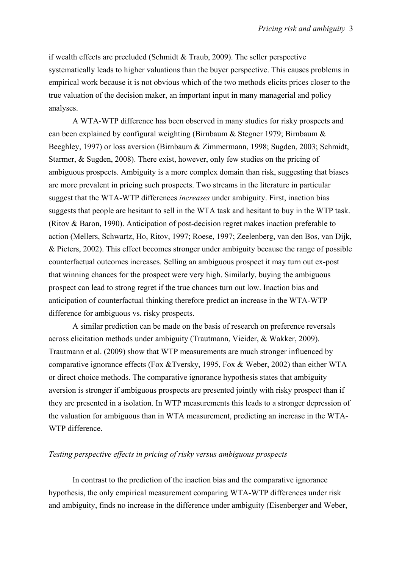if wealth effects are precluded (Schmidt & Traub, 2009). The seller perspective systematically leads to higher valuations than the buyer perspective. This causes problems in empirical work because it is not obvious which of the two methods elicits prices closer to the true valuation of the decision maker, an important input in many managerial and policy analyses.

 A WTA-WTP difference has been observed in many studies for risky prospects and can been explained by configural weighting (Birnbaum & Stegner 1979; Birnbaum & Beeghley, 1997) or loss aversion (Birnbaum & Zimmermann, 1998; Sugden, 2003; Schmidt, Starmer, & Sugden, 2008). There exist, however, only few studies on the pricing of ambiguous prospects. Ambiguity is a more complex domain than risk, suggesting that biases are more prevalent in pricing such prospects. Two streams in the literature in particular suggest that the WTA-WTP differences *increases* under ambiguity. First, inaction bias suggests that people are hesitant to sell in the WTA task and hesitant to buy in the WTP task. (Ritov & Baron, 1990). Anticipation of post-decision regret makes inaction preferable to action (Mellers, Schwartz, Ho, Ritov, 1997; Roese, 1997; Zeelenberg, van den Bos, van Dijk, & Pieters, 2002). This effect becomes stronger under ambiguity because the range of possible counterfactual outcomes increases. Selling an ambiguous prospect it may turn out ex-post that winning chances for the prospect were very high. Similarly, buying the ambiguous prospect can lead to strong regret if the true chances turn out low. Inaction bias and anticipation of counterfactual thinking therefore predict an increase in the WTA-WTP difference for ambiguous vs. risky prospects.

 A similar prediction can be made on the basis of research on preference reversals across elicitation methods under ambiguity (Trautmann, Vieider, & Wakker, 2009). Trautmann et al. (2009) show that WTP measurements are much stronger influenced by comparative ignorance effects (Fox &Tversky, 1995, Fox & Weber, 2002) than either WTA or direct choice methods. The comparative ignorance hypothesis states that ambiguity aversion is stronger if ambiguous prospects are presented jointly with risky prospect than if they are presented in a isolation. In WTP measurements this leads to a stronger depression of the valuation for ambiguous than in WTA measurement, predicting an increase in the WTA-WTP difference.

#### *Testing perspective effects in pricing of risky versus ambiguous prospects*

In contrast to the prediction of the inaction bias and the comparative ignorance hypothesis, the only empirical measurement comparing WTA-WTP differences under risk and ambiguity, finds no increase in the difference under ambiguity (Eisenberger and Weber,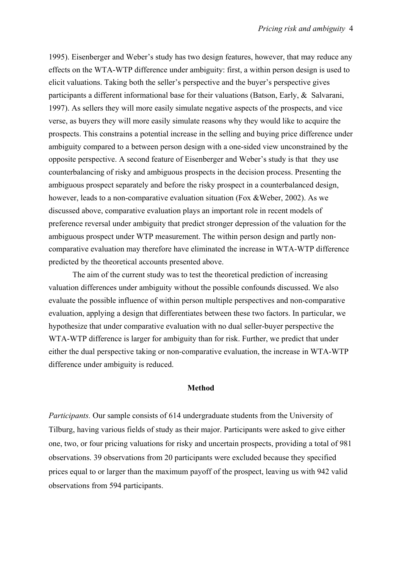1995). Eisenberger and Weber's study has two design features, however, that may reduce any effects on the WTA-WTP difference under ambiguity: first, a within person design is used to elicit valuations. Taking both the seller's perspective and the buyer's perspective gives participants a different informational base for their valuations (Batson, Early, & Salvarani, 1997). As sellers they will more easily simulate negative aspects of the prospects, and vice verse, as buyers they will more easily simulate reasons why they would like to acquire the prospects. This constrains a potential increase in the selling and buying price difference under ambiguity compared to a between person design with a one-sided view unconstrained by the opposite perspective. A second feature of Eisenberger and Weber's study is that they use counterbalancing of risky and ambiguous prospects in the decision process. Presenting the ambiguous prospect separately and before the risky prospect in a counterbalanced design, however, leads to a non-comparative evaluation situation (Fox &Weber, 2002). As we discussed above, comparative evaluation plays an important role in recent models of preference reversal under ambiguity that predict stronger depression of the valuation for the ambiguous prospect under WTP measurement. The within person design and partly noncomparative evaluation may therefore have eliminated the increase in WTA-WTP difference predicted by the theoretical accounts presented above.

The aim of the current study was to test the theoretical prediction of increasing valuation differences under ambiguity without the possible confounds discussed. We also evaluate the possible influence of within person multiple perspectives and non-comparative evaluation, applying a design that differentiates between these two factors. In particular, we hypothesize that under comparative evaluation with no dual seller-buyer perspective the WTA-WTP difference is larger for ambiguity than for risk. Further, we predict that under either the dual perspective taking or non-comparative evaluation, the increase in WTA-WTP difference under ambiguity is reduced.

#### **Method**

*Participants.* Our sample consists of 614 undergraduate students from the University of Tilburg, having various fields of study as their major. Participants were asked to give either one, two, or four pricing valuations for risky and uncertain prospects, providing a total of 981 observations. 39 observations from 20 participants were excluded because they specified prices equal to or larger than the maximum payoff of the prospect, leaving us with 942 valid observations from 594 participants.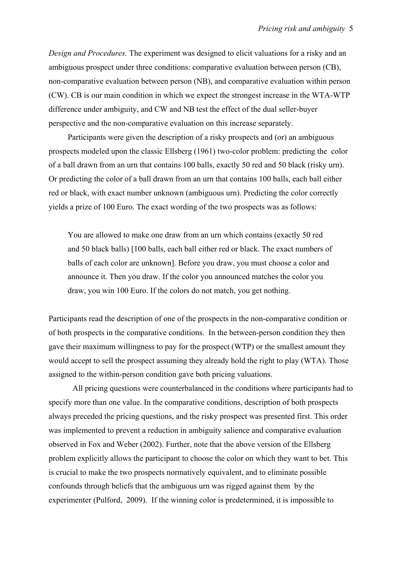*Design and Procedures.* The experiment was designed to elicit valuations for a risky and an ambiguous prospect under three conditions: comparative evaluation between person (CB), non-comparative evaluation between person (NB), and comparative evaluation within person (CW). CB is our main condition in which we expect the strongest increase in the WTA-WTP difference under ambiguity, and CW and NB test the effect of the dual seller-buyer perspective and the non-comparative evaluation on this increase separately.

Participants were given the description of a risky prospects and (or) an ambiguous prospects modeled upon the classic Ellsberg (1961) two-color problem: predicting the color of a ball drawn from an urn that contains 100 balls, exactly 50 red and 50 black (risky urn). Or predicting the color of a ball drawn from an urn that contains 100 balls, each ball either red or black, with exact number unknown (ambiguous urn). Predicting the color correctly yields a prize of 100 Euro. The exact wording of the two prospects was as follows:

You are allowed to make one draw from an urn which contains (exactly 50 red and 50 black balls) [100 balls, each ball either red or black. The exact numbers of balls of each color are unknown]. Before you draw, you must choose a color and announce it. Then you draw. If the color you announced matches the color you draw, you win 100 Euro. If the colors do not match, you get nothing.

Participants read the description of one of the prospects in the non-comparative condition or of both prospects in the comparative conditions. In the between-person condition they then gave their maximum willingness to pay for the prospect (WTP) or the smallest amount they would accept to sell the prospect assuming they already hold the right to play (WTA). Those assigned to the within-person condition gave both pricing valuations.

 All pricing questions were counterbalanced in the conditions where participants had to specify more than one value. In the comparative conditions, description of both prospects always preceded the pricing questions, and the risky prospect was presented first. This order was implemented to prevent a reduction in ambiguity salience and comparative evaluation observed in Fox and Weber (2002). Further, note that the above version of the Ellsberg problem explicitly allows the participant to choose the color on which they want to bet. This is crucial to make the two prospects normatively equivalent, and to eliminate possible confounds through beliefs that the ambiguous urn was rigged against them by the experimenter (Pulford, 2009). If the winning color is predetermined, it is impossible to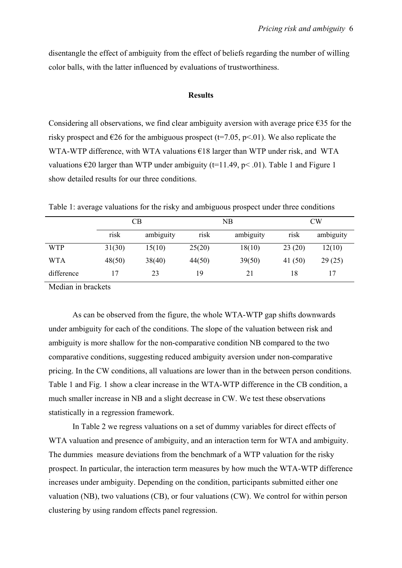disentangle the effect of ambiguity from the effect of beliefs regarding the number of willing color balls, with the latter influenced by evaluations of trustworthiness.

#### **Results**

Considering all observations, we find clear ambiguity aversion with average price  $\epsilon$ 35 for the risky prospect and  $\epsilon$ 26 for the ambiguous prospect (t=7.05, p<.01). We also replicate the WTA-WTP difference, with WTA valuations €18 larger than WTP under risk, and WTA valuations  $\epsilon$ 20 larger than WTP under ambiguity (t=11.49, p< .01). Table 1 and Figure 1 show detailed results for our three conditions.

|            | CВ     |           | NB     |           | <b>CW</b> |           |
|------------|--------|-----------|--------|-----------|-----------|-----------|
|            | risk   | ambiguity | risk   | ambiguity | risk      | ambiguity |
| <b>WTP</b> | 31(30) | 15(10)    | 25(20) | 18(10)    | 23(20)    | 12(10)    |
| <b>WTA</b> | 48(50) | 38(40)    | 44(50) | 39(50)    | 41 $(50)$ | 29(25)    |
| difference | 17     | 23        | 19     | 21        | 18        |           |

Table 1: average valuations for the risky and ambiguous prospect under three conditions

Median in brackets

 As can be observed from the figure, the whole WTA-WTP gap shifts downwards under ambiguity for each of the conditions. The slope of the valuation between risk and ambiguity is more shallow for the non-comparative condition NB compared to the two comparative conditions, suggesting reduced ambiguity aversion under non-comparative pricing. In the CW conditions, all valuations are lower than in the between person conditions. Table 1 and Fig. 1 show a clear increase in the WTA-WTP difference in the CB condition, a much smaller increase in NB and a slight decrease in CW. We test these observations statistically in a regression framework.

 In Table 2 we regress valuations on a set of dummy variables for direct effects of WTA valuation and presence of ambiguity, and an interaction term for WTA and ambiguity. The dummies measure deviations from the benchmark of a WTP valuation for the risky prospect. In particular, the interaction term measures by how much the WTA-WTP difference increases under ambiguity. Depending on the condition, participants submitted either one valuation (NB), two valuations (CB), or four valuations (CW). We control for within person clustering by using random effects panel regression.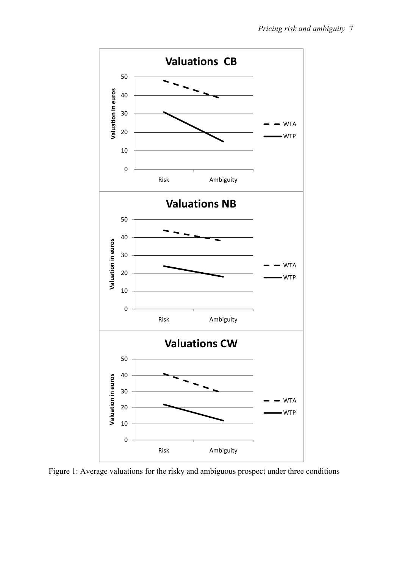

Figure 1: Average valuations for the risky and ambiguous prospect under three conditions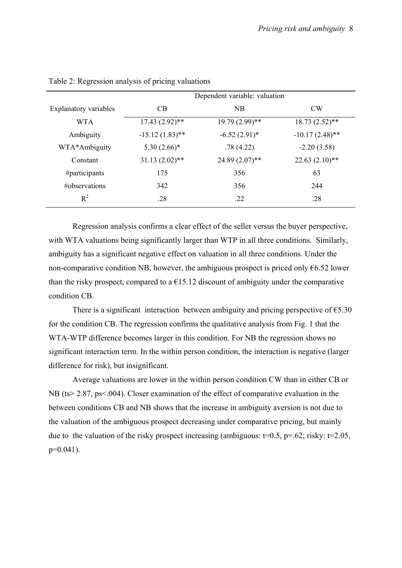|                       | Dependent variable: valuation |                                    |                   |  |  |
|-----------------------|-------------------------------|------------------------------------|-------------------|--|--|
| Explanatory variables | C <sub>B</sub>                | <b>NB</b>                          | <b>CW</b>         |  |  |
| WTA                   | $17.43(2.92)$ **              | $18.73(2.52)$ **<br>19.79 (2.99)** |                   |  |  |
| Ambiguity             | $-15.12(1.83)$ **             | $-6.52(2.91)$ *                    | $-10.17(2.48)$ ** |  |  |
| WTA*Ambiguity         | $5.30(2.66)*$                 | .78(4.22)                          | $-2.20(3.58)$     |  |  |
| Constant              | $31.13(2.02)$ **              | $24.89(2.07)$ **                   | $22.63(2.10)**$   |  |  |
| #participants         | 175                           | 356                                | 63                |  |  |
| #observations         | 342                           | 356                                | 244               |  |  |
| $R^2$                 | .28                           | .22                                | .28               |  |  |

Table 2: Regression analysis of pricing valuations

Regression analysis confirms a clear effect of the seller versus the buyer perspective, with WTA valuations being significantly larger than WTP in all three conditions. Similarly, ambiguity has a significant negative effect on valuation in all three conditions. Under the non-comparative condition NB, however, the ambiguous prospect is priced only  $66.52$  lower than the risky prospect, compared to a  $\epsilon$ 15.12 discount of ambiguity under the comparative condition CB.

There is a significant interaction between ambiguity and pricing perspective of  $\epsilon$ 5.30 for the condition CB. The regression confirms the qualitative analysis from Fig. 1 that the WTA-WTP difference becomes larger in this condition. For NB the regression shows no significant interaction term. In the within person condition, the interaction is negative (larger difference for risk), but insignificant.

 Average valuations are lower in the within person condition CW than in either CB or NB (ts> 2.87, ps<.004). Closer examination of the effect of comparative evaluation in the between conditions CB and NB shows that the increase in ambiguity aversion is not due to the valuation of the ambiguous prospect decreasing under comparative pricing, but mainly due to the valuation of the risky prospect increasing (ambiguous:  $t=0.5$ ,  $p=.62$ ; risky:  $t=2.05$ , p=0.041).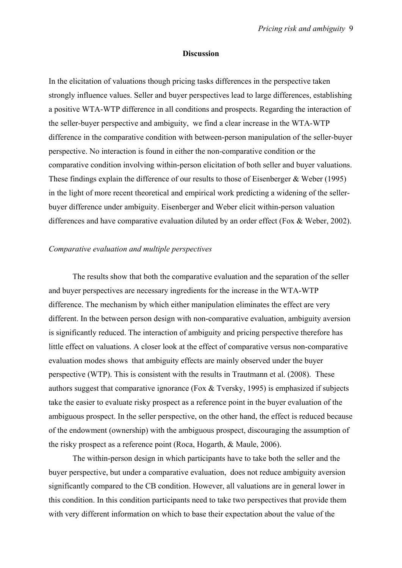#### **Discussion**

In the elicitation of valuations though pricing tasks differences in the perspective taken strongly influence values. Seller and buyer perspectives lead to large differences, establishing a positive WTA-WTP difference in all conditions and prospects. Regarding the interaction of the seller-buyer perspective and ambiguity, we find a clear increase in the WTA-WTP difference in the comparative condition with between-person manipulation of the seller-buyer perspective. No interaction is found in either the non-comparative condition or the comparative condition involving within-person elicitation of both seller and buyer valuations. These findings explain the difference of our results to those of Eisenberger & Weber (1995) in the light of more recent theoretical and empirical work predicting a widening of the sellerbuyer difference under ambiguity. Eisenberger and Weber elicit within-person valuation differences and have comparative evaluation diluted by an order effect (Fox & Weber, 2002).

#### *Comparative evaluation and multiple perspectives*

 The results show that both the comparative evaluation and the separation of the seller and buyer perspectives are necessary ingredients for the increase in the WTA-WTP difference. The mechanism by which either manipulation eliminates the effect are very different. In the between person design with non-comparative evaluation, ambiguity aversion is significantly reduced. The interaction of ambiguity and pricing perspective therefore has little effect on valuations. A closer look at the effect of comparative versus non-comparative evaluation modes shows that ambiguity effects are mainly observed under the buyer perspective (WTP). This is consistent with the results in Trautmann et al. (2008). These authors suggest that comparative ignorance (Fox & Tversky, 1995) is emphasized if subjects take the easier to evaluate risky prospect as a reference point in the buyer evaluation of the ambiguous prospect. In the seller perspective, on the other hand, the effect is reduced because of the endowment (ownership) with the ambiguous prospect, discouraging the assumption of the risky prospect as a reference point (Roca, Hogarth, & Maule, 2006).

 The within-person design in which participants have to take both the seller and the buyer perspective, but under a comparative evaluation, does not reduce ambiguity aversion significantly compared to the CB condition. However, all valuations are in general lower in this condition. In this condition participants need to take two perspectives that provide them with very different information on which to base their expectation about the value of the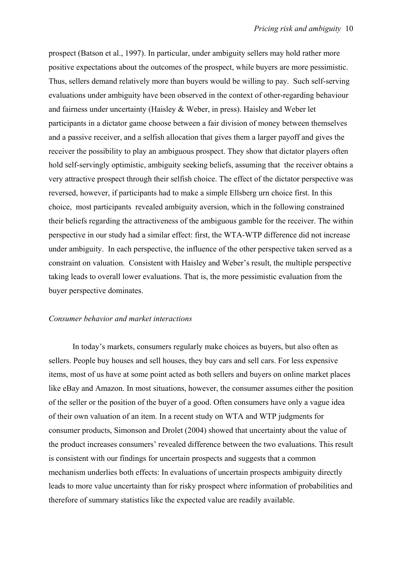prospect (Batson et al., 1997). In particular, under ambiguity sellers may hold rather more positive expectations about the outcomes of the prospect, while buyers are more pessimistic. Thus, sellers demand relatively more than buyers would be willing to pay. Such self-serving evaluations under ambiguity have been observed in the context of other-regarding behaviour and fairness under uncertainty (Haisley & Weber, in press). Haisley and Weber let participants in a dictator game choose between a fair division of money between themselves and a passive receiver, and a selfish allocation that gives them a larger payoff and gives the receiver the possibility to play an ambiguous prospect. They show that dictator players often hold self-servingly optimistic, ambiguity seeking beliefs, assuming that the receiver obtains a very attractive prospect through their selfish choice. The effect of the dictator perspective was reversed, however, if participants had to make a simple Ellsberg urn choice first. In this choice, most participants revealed ambiguity aversion, which in the following constrained their beliefs regarding the attractiveness of the ambiguous gamble for the receiver. The within perspective in our study had a similar effect: first, the WTA-WTP difference did not increase under ambiguity. In each perspective, the influence of the other perspective taken served as a constraint on valuation. Consistent with Haisley and Weber's result, the multiple perspective taking leads to overall lower evaluations. That is, the more pessimistic evaluation from the buyer perspective dominates.

#### *Consumer behavior and market interactions*

In today's markets, consumers regularly make choices as buyers, but also often as sellers. People buy houses and sell houses, they buy cars and sell cars. For less expensive items, most of us have at some point acted as both sellers and buyers on online market places like eBay and Amazon. In most situations, however, the consumer assumes either the position of the seller or the position of the buyer of a good. Often consumers have only a vague idea of their own valuation of an item. In a recent study on WTA and WTP judgments for consumer products, Simonson and Drolet (2004) showed that uncertainty about the value of the product increases consumers' revealed difference between the two evaluations. This result is consistent with our findings for uncertain prospects and suggests that a common mechanism underlies both effects: In evaluations of uncertain prospects ambiguity directly leads to more value uncertainty than for risky prospect where information of probabilities and therefore of summary statistics like the expected value are readily available.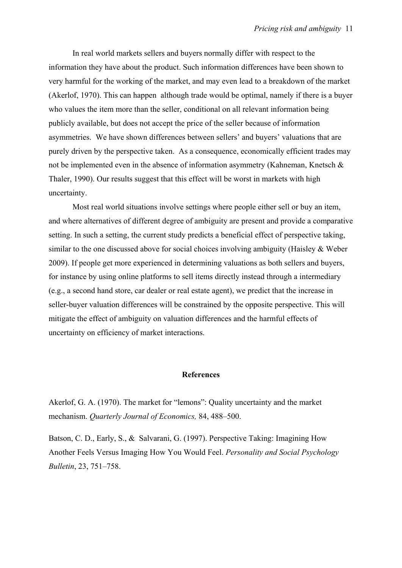In real world markets sellers and buyers normally differ with respect to the information they have about the product. Such information differences have been shown to very harmful for the working of the market, and may even lead to a breakdown of the market (Akerlof, 1970). This can happen although trade would be optimal, namely if there is a buyer who values the item more than the seller, conditional on all relevant information being publicly available, but does not accept the price of the seller because of information asymmetries. We have shown differences between sellers' and buyers' valuations that are purely driven by the perspective taken. As a consequence, economically efficient trades may not be implemented even in the absence of information asymmetry (Kahneman, Knetsch  $\&$ Thaler, 1990). Our results suggest that this effect will be worst in markets with high uncertainty.

Most real world situations involve settings where people either sell or buy an item, and where alternatives of different degree of ambiguity are present and provide a comparative setting. In such a setting, the current study predicts a beneficial effect of perspective taking, similar to the one discussed above for social choices involving ambiguity (Haisley & Weber 2009). If people get more experienced in determining valuations as both sellers and buyers, for instance by using online platforms to sell items directly instead through a intermediary (e.g., a second hand store, car dealer or real estate agent), we predict that the increase in seller-buyer valuation differences will be constrained by the opposite perspective. This will mitigate the effect of ambiguity on valuation differences and the harmful effects of uncertainty on efficiency of market interactions.

#### **References**

Akerlof, G. A. (1970). The market for "lemons": Quality uncertainty and the market mechanism. *Quarterly Journal of Economics,* 84, 488–500.

Batson, C. D., Early, S., & Salvarani, G. (1997). Perspective Taking: Imagining How Another Feels Versus Imaging How You Would Feel. *Personality and Social Psychology Bulletin*, 23, 751–758.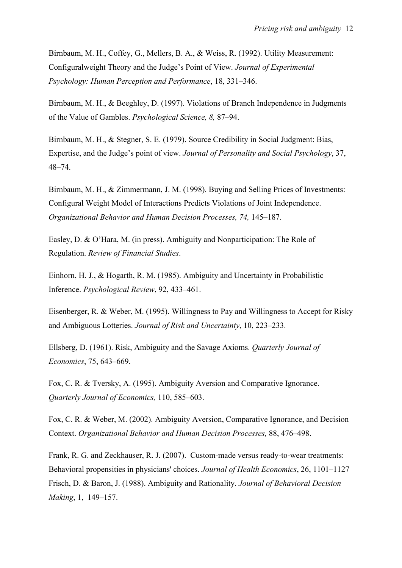Birnbaum, M. H., Coffey, G., Mellers, B. A., & Weiss, R. (1992). Utility Measurement: Configuralweight Theory and the Judge's Point of View. *Journal of Experimental Psychology: Human Perception and Performance*, 18, 331–346.

Birnbaum, M. H., & Beeghley, D. (1997). Violations of Branch Independence in Judgments of the Value of Gambles. *Psychological Science, 8,* 87–94.

Birnbaum, M. H., & Stegner, S. E. (1979). Source Credibility in Social Judgment: Bias, Expertise, and the Judge's point of view. *Journal of Personality and Social Psychology*, 37, 48–74.

Birnbaum, M. H., & Zimmermann, J. M. (1998). Buying and Selling Prices of Investments: Configural Weight Model of Interactions Predicts Violations of Joint Independence. *Organizational Behavior and Human Decision Processes, 74,* 145–187.

Easley, D. & O'Hara, M. (in press). Ambiguity and Nonparticipation: The Role of Regulation. *Review of Financial Studies*.

Einhorn, H. J., & Hogarth, R. M. (1985). Ambiguity and Uncertainty in Probabilistic Inference. *Psychological Review*, 92, 433–461.

Eisenberger, R. & Weber, M. (1995). Willingness to Pay and Willingness to Accept for Risky and Ambiguous Lotteries. *Journal of Risk and Uncertainty*, 10, 223–233.

Ellsberg, D. (1961). Risk, Ambiguity and the Savage Axioms. *Quarterly Journal of Economics*, 75, 643–669.

Fox, C. R. & Tversky, A. (1995). Ambiguity Aversion and Comparative Ignorance. *Quarterly Journal of Economics,* 110, 585–603.

Fox, C. R. & Weber, M. (2002). Ambiguity Aversion, Comparative Ignorance, and Decision Context. *Organizational Behavior and Human Decision Processes,* 88, 476–498.

Frank, R. G. and Zeckhauser, R. J. (2007). Custom-made versus ready-to-wear treatments: Behavioral propensities in physicians' choices. *Journal of Health Economics*, 26, 1101–1127 Frisch, D. & Baron, J. (1988). Ambiguity and Rationality. *Journal of Behavioral Decision Making*, 1, 149–157.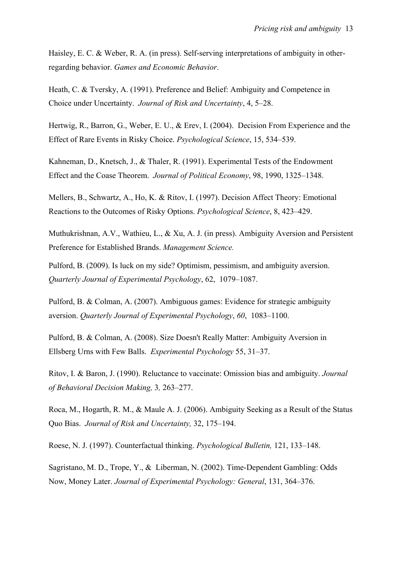Haisley, E. C. & Weber, R. A. (in press). Self-serving interpretations of ambiguity in otherregarding behavior. *Games and Economic Behavior*.

Heath, C. & Tversky, A. (1991). Preference and Belief: Ambiguity and Competence in Choice under Uncertainty. *Journal of Risk and Uncertainty*, 4, 5–28.

Hertwig, R., Barron, G., Weber, E. U., & Erev, I. (2004). Decision From Experience and the Effect of Rare Events in Risky Choice. *Psychological Science*, 15, 534–539.

Kahneman, D., Knetsch, J., & Thaler, R. (1991). Experimental Tests of the Endowment Effect and the Coase Theorem. *Journal of Political Economy*, 98, 1990, 1325–1348.

Mellers, B., Schwartz, A., Ho, K. & Ritov, I. (1997). Decision Affect Theory: Emotional Reactions to the Outcomes of Risky Options. *Psychological Science*, 8, 423–429.

Muthukrishnan, A.V., Wathieu, L., & Xu, A. J. (in press). Ambiguity Aversion and Persistent Preference for Established Brands. *Management Science.* 

Pulford, B. (2009). Is luck on my side? Optimism, pessimism, and ambiguity aversion. *Quarterly Journal of Experimental Psychology*, 62, 1079–1087.

Pulford, B. & Colman, A. (2007). Ambiguous games: Evidence for strategic ambiguity aversion. *Quarterly Journal of Experimental Psychology*, *60*, 1083–1100.

Pulford, B. & Colman, A. (2008). Size Doesn't Really Matter: Ambiguity Aversion in Ellsberg Urns with Few Balls. *Experimental Psychology* 55, 31–37.

Ritov, I. & Baron, J. (1990). Reluctance to vaccinate: Omission bias and ambiguity. *Journal of Behavioral Decision Making,* 3*,* 263–277.

Roca, M., Hogarth, R. M., & Maule A. J. (2006). Ambiguity Seeking as a Result of the Status Quo Bias. *Journal of Risk and Uncertainty,* 32, 175–194.

Roese, N. J. (1997). Counterfactual thinking. *Psychological Bulletin,* 121, 133–148.

Sagristano, M. D., Trope, Y., & Liberman, N. (2002). Time-Dependent Gambling: Odds Now, Money Later. *Journal of Experimental Psychology: General*, 131, 364–376.